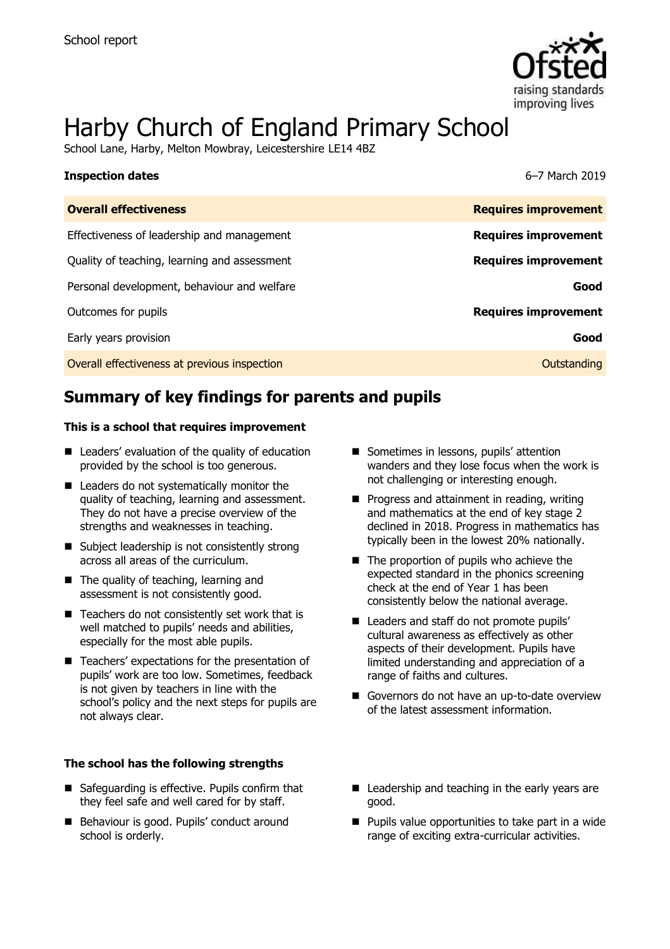

# Harby Church of England Primary School

School Lane, Harby, Melton Mowbray, Leicestershire LE14 4BZ

| <b>Inspection dates</b>                      | 6-7 March 2019              |
|----------------------------------------------|-----------------------------|
| <b>Overall effectiveness</b>                 | <b>Requires improvement</b> |
| Effectiveness of leadership and management   | <b>Requires improvement</b> |
| Quality of teaching, learning and assessment | <b>Requires improvement</b> |
| Personal development, behaviour and welfare  | Good                        |
| Outcomes for pupils                          | <b>Requires improvement</b> |
| Early years provision                        | Good                        |
| Overall effectiveness at previous inspection | Outstanding                 |

# **Summary of key findings for parents and pupils**

### **This is a school that requires improvement**

- Leaders' evaluation of the quality of education provided by the school is too generous.
- Leaders do not systematically monitor the quality of teaching, learning and assessment. They do not have a precise overview of the strengths and weaknesses in teaching.
- Subject leadership is not consistently strong across all areas of the curriculum.
- The quality of teaching, learning and assessment is not consistently good.
- $\blacksquare$  Teachers do not consistently set work that is well matched to pupils' needs and abilities, especially for the most able pupils.
- Teachers' expectations for the presentation of pupils' work are too low. Sometimes, feedback is not given by teachers in line with the school's policy and the next steps for pupils are not always clear.

### **The school has the following strengths**

- Safeguarding is effective. Pupils confirm that they feel safe and well cared for by staff.
- Behaviour is good. Pupils' conduct around school is orderly.
- Sometimes in lessons, pupils' attention wanders and they lose focus when the work is not challenging or interesting enough.
- **Progress and attainment in reading, writing** and mathematics at the end of key stage 2 declined in 2018. Progress in mathematics has typically been in the lowest 20% nationally.
- The proportion of pupils who achieve the expected standard in the phonics screening check at the end of Year 1 has been consistently below the national average.
- Leaders and staff do not promote pupils' cultural awareness as effectively as other aspects of their development. Pupils have limited understanding and appreciation of a range of faiths and cultures.
- Governors do not have an up-to-date overview of the latest assessment information.
- Leadership and teaching in the early years are good.
- $\blacksquare$  Pupils value opportunities to take part in a wide range of exciting extra-curricular activities.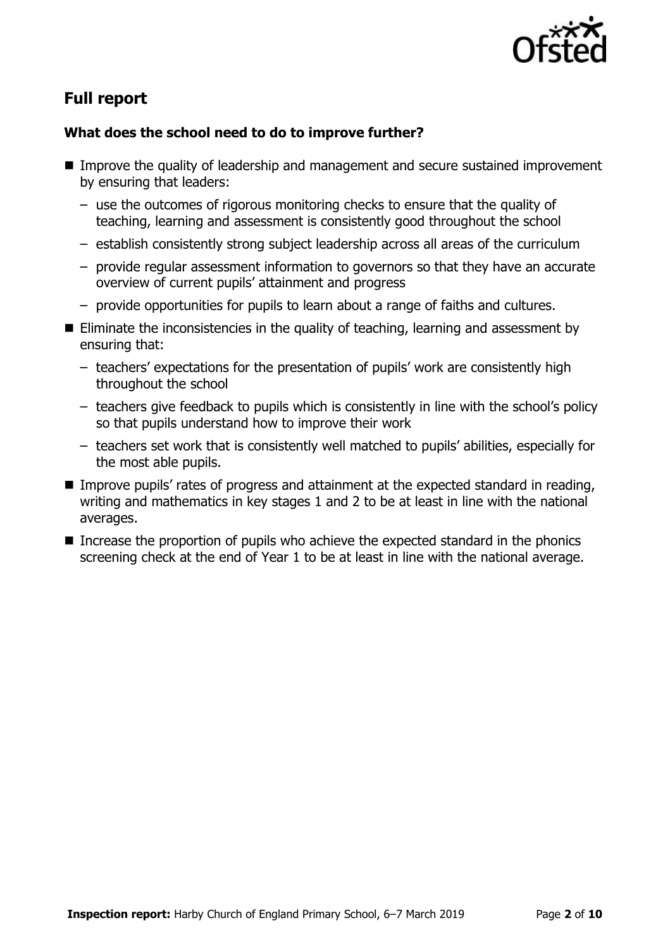

# **Full report**

# **What does the school need to do to improve further?**

- Improve the quality of leadership and management and secure sustained improvement by ensuring that leaders:
	- use the outcomes of rigorous monitoring checks to ensure that the quality of teaching, learning and assessment is consistently good throughout the school
	- establish consistently strong subject leadership across all areas of the curriculum
	- provide regular assessment information to governors so that they have an accurate overview of current pupils' attainment and progress
	- provide opportunities for pupils to learn about a range of faiths and cultures.
- Eliminate the inconsistencies in the quality of teaching, learning and assessment by ensuring that:
	- teachers' expectations for the presentation of pupils' work are consistently high throughout the school
	- teachers give feedback to pupils which is consistently in line with the school's policy so that pupils understand how to improve their work
	- teachers set work that is consistently well matched to pupils' abilities, especially for the most able pupils.
- Improve pupils' rates of progress and attainment at the expected standard in reading, writing and mathematics in key stages 1 and 2 to be at least in line with the national averages.
- Increase the proportion of pupils who achieve the expected standard in the phonics screening check at the end of Year 1 to be at least in line with the national average.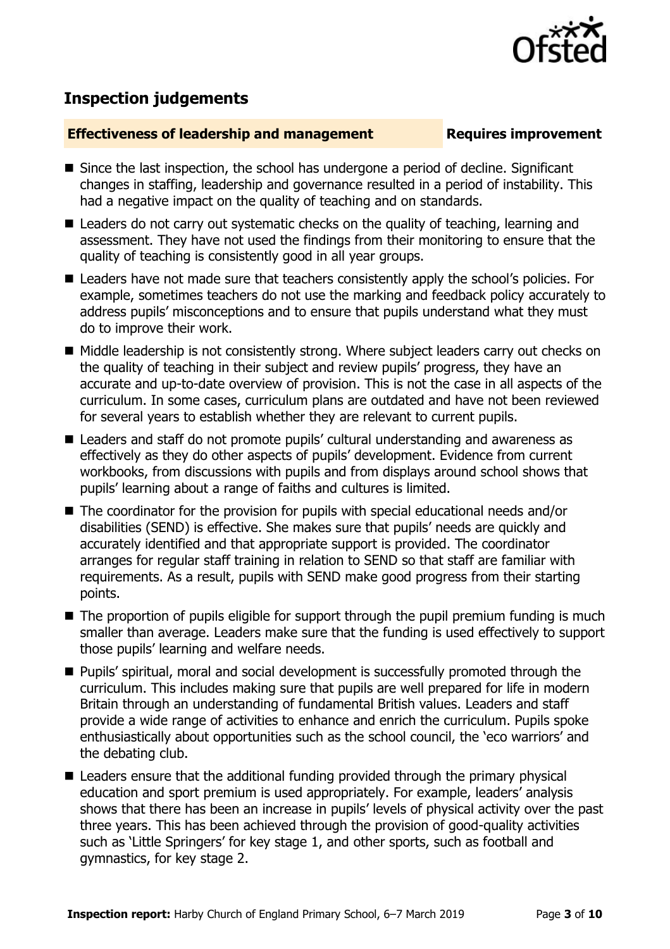

# **Inspection judgements**

# **Effectiveness of leadership and management Requires improvement**

- Since the last inspection, the school has undergone a period of decline. Significant changes in staffing, leadership and governance resulted in a period of instability. This had a negative impact on the quality of teaching and on standards.
- Leaders do not carry out systematic checks on the quality of teaching, learning and assessment. They have not used the findings from their monitoring to ensure that the quality of teaching is consistently good in all year groups.
- Leaders have not made sure that teachers consistently apply the school's policies. For example, sometimes teachers do not use the marking and feedback policy accurately to address pupils' misconceptions and to ensure that pupils understand what they must do to improve their work.
- Middle leadership is not consistently strong. Where subject leaders carry out checks on the quality of teaching in their subject and review pupils' progress, they have an accurate and up-to-date overview of provision. This is not the case in all aspects of the curriculum. In some cases, curriculum plans are outdated and have not been reviewed for several years to establish whether they are relevant to current pupils.
- Leaders and staff do not promote pupils' cultural understanding and awareness as effectively as they do other aspects of pupils' development. Evidence from current workbooks, from discussions with pupils and from displays around school shows that pupils' learning about a range of faiths and cultures is limited.
- The coordinator for the provision for pupils with special educational needs and/or disabilities (SEND) is effective. She makes sure that pupils' needs are quickly and accurately identified and that appropriate support is provided. The coordinator arranges for regular staff training in relation to SEND so that staff are familiar with requirements. As a result, pupils with SEND make good progress from their starting points.
- The proportion of pupils eligible for support through the pupil premium funding is much smaller than average. Leaders make sure that the funding is used effectively to support those pupils' learning and welfare needs.
- **Pupils'** spiritual, moral and social development is successfully promoted through the curriculum. This includes making sure that pupils are well prepared for life in modern Britain through an understanding of fundamental British values. Leaders and staff provide a wide range of activities to enhance and enrich the curriculum. Pupils spoke enthusiastically about opportunities such as the school council, the 'eco warriors' and the debating club.
- Leaders ensure that the additional funding provided through the primary physical education and sport premium is used appropriately. For example, leaders' analysis shows that there has been an increase in pupils' levels of physical activity over the past three years. This has been achieved through the provision of good-quality activities such as 'Little Springers' for key stage 1, and other sports, such as football and gymnastics, for key stage 2.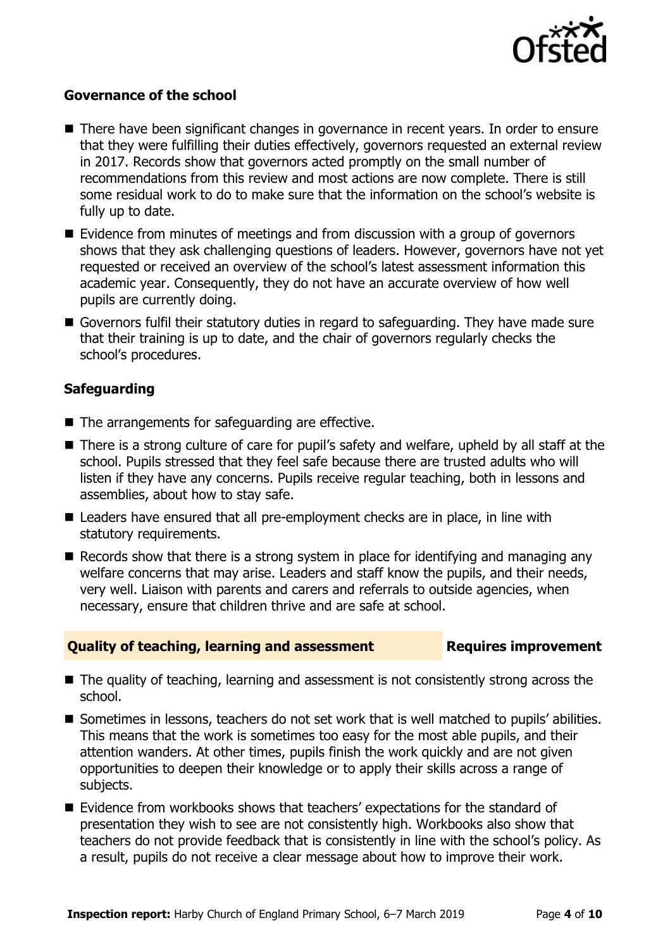

# **Governance of the school**

- There have been significant changes in governance in recent years. In order to ensure that they were fulfilling their duties effectively, governors requested an external review in 2017. Records show that governors acted promptly on the small number of recommendations from this review and most actions are now complete. There is still some residual work to do to make sure that the information on the school's website is fully up to date.
- Evidence from minutes of meetings and from discussion with a group of governors shows that they ask challenging questions of leaders. However, governors have not yet requested or received an overview of the school's latest assessment information this academic year. Consequently, they do not have an accurate overview of how well pupils are currently doing.
- Governors fulfil their statutory duties in regard to safeguarding. They have made sure that their training is up to date, and the chair of governors regularly checks the school's procedures.

# **Safeguarding**

- The arrangements for safeguarding are effective.
- There is a strong culture of care for pupil's safety and welfare, upheld by all staff at the school. Pupils stressed that they feel safe because there are trusted adults who will listen if they have any concerns. Pupils receive regular teaching, both in lessons and assemblies, about how to stay safe.
- Leaders have ensured that all pre-employment checks are in place, in line with statutory requirements.
- Records show that there is a strong system in place for identifying and managing any welfare concerns that may arise. Leaders and staff know the pupils, and their needs, very well. Liaison with parents and carers and referrals to outside agencies, when necessary, ensure that children thrive and are safe at school.

### **Quality of teaching, learning and assessment Requires improvement**

- The quality of teaching, learning and assessment is not consistently strong across the school.
- Sometimes in lessons, teachers do not set work that is well matched to pupils' abilities. This means that the work is sometimes too easy for the most able pupils, and their attention wanders. At other times, pupils finish the work quickly and are not given opportunities to deepen their knowledge or to apply their skills across a range of subjects.
- Evidence from workbooks shows that teachers' expectations for the standard of presentation they wish to see are not consistently high. Workbooks also show that teachers do not provide feedback that is consistently in line with the school's policy. As a result, pupils do not receive a clear message about how to improve their work.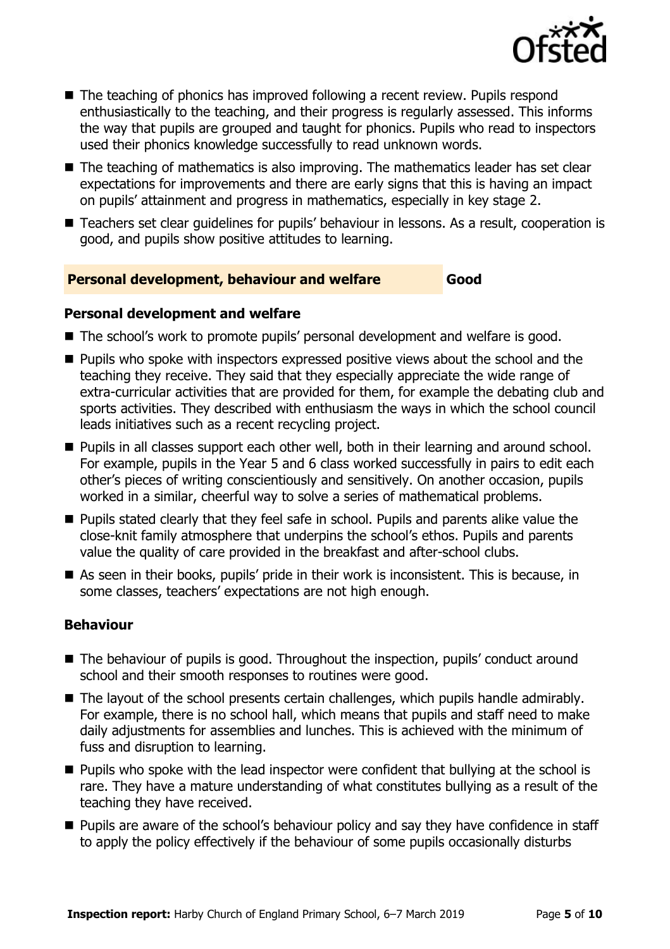

- The teaching of phonics has improved following a recent review. Pupils respond enthusiastically to the teaching, and their progress is regularly assessed. This informs the way that pupils are grouped and taught for phonics. Pupils who read to inspectors used their phonics knowledge successfully to read unknown words.
- $\blacksquare$  The teaching of mathematics is also improving. The mathematics leader has set clear expectations for improvements and there are early signs that this is having an impact on pupils' attainment and progress in mathematics, especially in key stage 2.
- Teachers set clear quidelines for pupils' behaviour in lessons. As a result, cooperation is good, and pupils show positive attitudes to learning.

# **Personal development, behaviour and welfare Good**

# **Personal development and welfare**

- The school's work to promote pupils' personal development and welfare is good.
- **Pupils who spoke with inspectors expressed positive views about the school and the** teaching they receive. They said that they especially appreciate the wide range of extra-curricular activities that are provided for them, for example the debating club and sports activities. They described with enthusiasm the ways in which the school council leads initiatives such as a recent recycling project.
- **Pupils in all classes support each other well, both in their learning and around school.** For example, pupils in the Year 5 and 6 class worked successfully in pairs to edit each other's pieces of writing conscientiously and sensitively. On another occasion, pupils worked in a similar, cheerful way to solve a series of mathematical problems.
- **Pupils stated clearly that they feel safe in school. Pupils and parents alike value the** close-knit family atmosphere that underpins the school's ethos. Pupils and parents value the quality of care provided in the breakfast and after-school clubs.
- As seen in their books, pupils' pride in their work is inconsistent. This is because, in some classes, teachers' expectations are not high enough.

# **Behaviour**

- The behaviour of pupils is good. Throughout the inspection, pupils' conduct around school and their smooth responses to routines were good.
- The layout of the school presents certain challenges, which pupils handle admirably. For example, there is no school hall, which means that pupils and staff need to make daily adjustments for assemblies and lunches. This is achieved with the minimum of fuss and disruption to learning.
- $\blacksquare$  Pupils who spoke with the lead inspector were confident that bullying at the school is rare. They have a mature understanding of what constitutes bullying as a result of the teaching they have received.
- Pupils are aware of the school's behaviour policy and say they have confidence in staff to apply the policy effectively if the behaviour of some pupils occasionally disturbs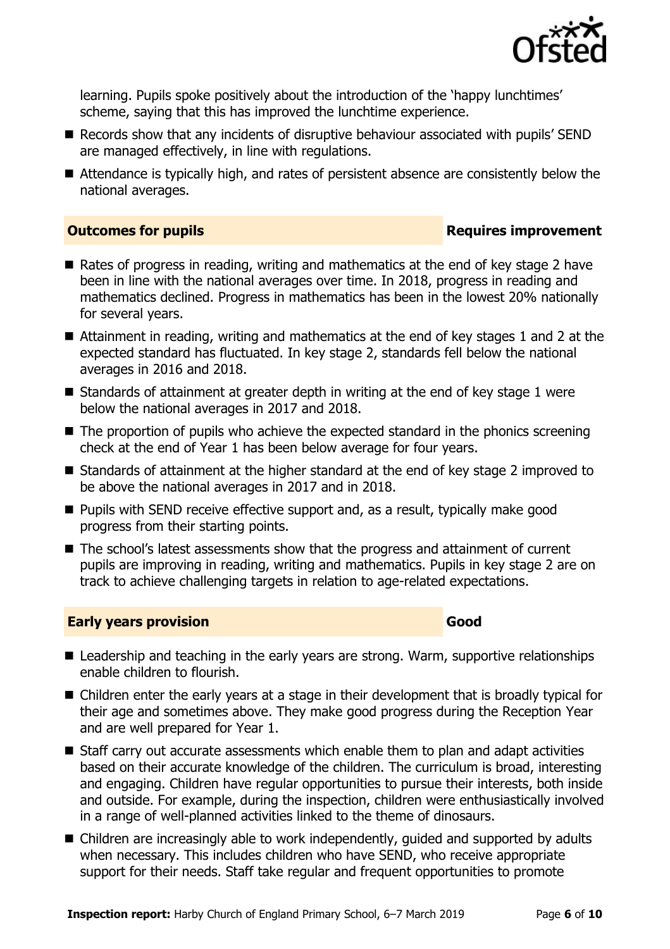

learning. Pupils spoke positively about the introduction of the 'happy lunchtimes' scheme, saying that this has improved the lunchtime experience.

- Records show that any incidents of disruptive behaviour associated with pupils' SEND are managed effectively, in line with regulations.
- Attendance is typically high, and rates of persistent absence are consistently below the national averages.

# **Outcomes for pupils Requires improvement**

- Rates of progress in reading, writing and mathematics at the end of key stage 2 have been in line with the national averages over time. In 2018, progress in reading and mathematics declined. Progress in mathematics has been in the lowest 20% nationally for several years.
- Attainment in reading, writing and mathematics at the end of key stages 1 and 2 at the expected standard has fluctuated. In key stage 2, standards fell below the national averages in 2016 and 2018.
- Standards of attainment at greater depth in writing at the end of key stage 1 were below the national averages in 2017 and 2018.
- $\blacksquare$  The proportion of pupils who achieve the expected standard in the phonics screening check at the end of Year 1 has been below average for four years.
- Standards of attainment at the higher standard at the end of key stage 2 improved to be above the national averages in 2017 and in 2018.
- **Pupils with SEND receive effective support and, as a result, typically make good** progress from their starting points.
- The school's latest assessments show that the progress and attainment of current pupils are improving in reading, writing and mathematics. Pupils in key stage 2 are on track to achieve challenging targets in relation to age-related expectations.

# **Early years provision Good**

- Leadership and teaching in the early years are strong. Warm, supportive relationships enable children to flourish.
- Children enter the early years at a stage in their development that is broadly typical for their age and sometimes above. They make good progress during the Reception Year and are well prepared for Year 1.
- Staff carry out accurate assessments which enable them to plan and adapt activities based on their accurate knowledge of the children. The curriculum is broad, interesting and engaging. Children have regular opportunities to pursue their interests, both inside and outside. For example, during the inspection, children were enthusiastically involved in a range of well-planned activities linked to the theme of dinosaurs.
- Children are increasingly able to work independently, guided and supported by adults when necessary. This includes children who have SEND, who receive appropriate support for their needs. Staff take regular and frequent opportunities to promote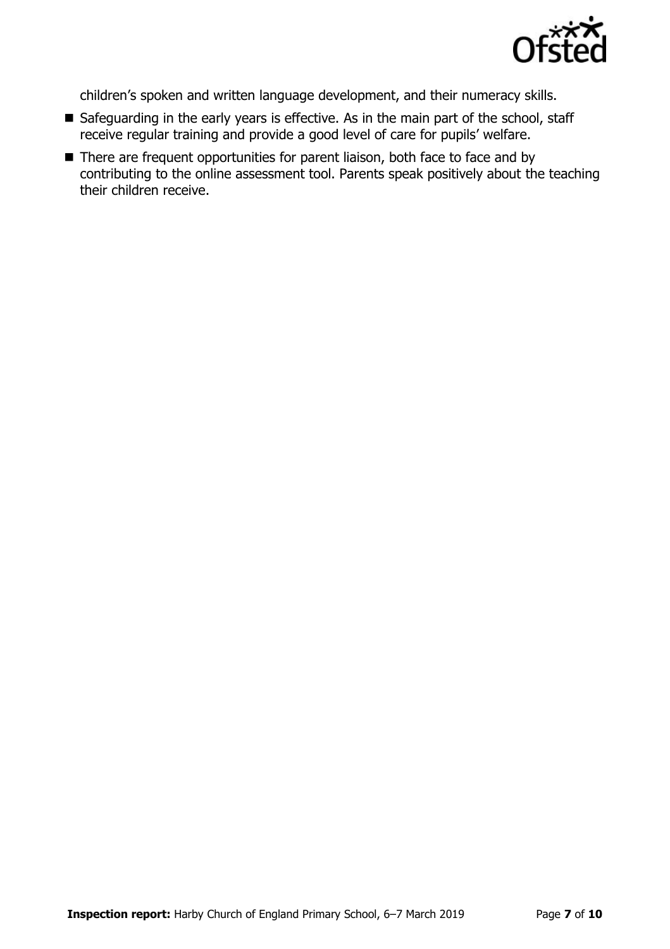

children's spoken and written language development, and their numeracy skills.

- Safeguarding in the early years is effective. As in the main part of the school, staff receive regular training and provide a good level of care for pupils' welfare.
- There are frequent opportunities for parent liaison, both face to face and by contributing to the online assessment tool. Parents speak positively about the teaching their children receive.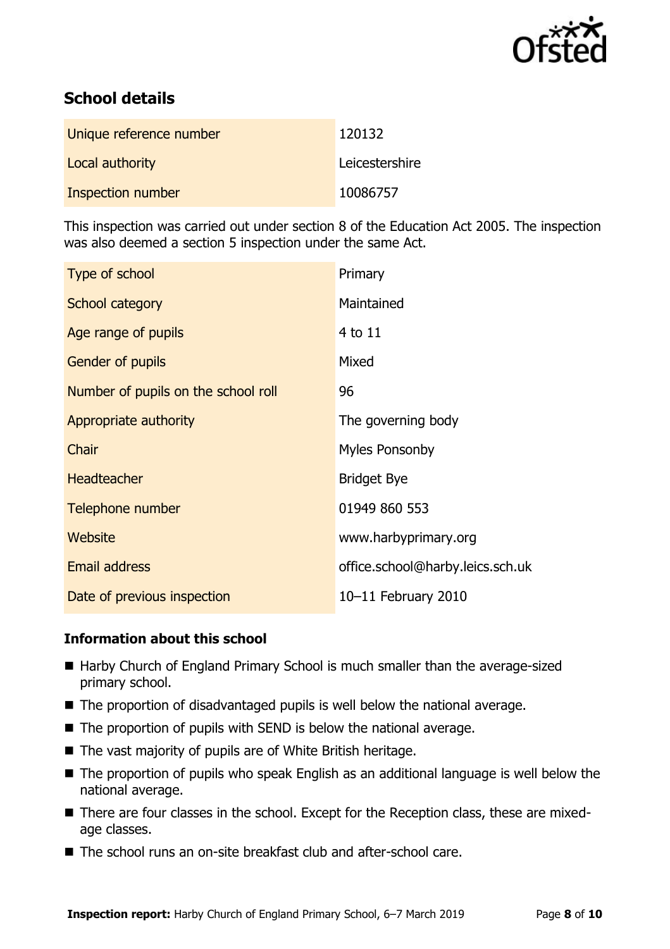

# **School details**

| Unique reference number | 120132         |
|-------------------------|----------------|
| Local authority         | Leicestershire |
| Inspection number       | 10086757       |

This inspection was carried out under section 8 of the Education Act 2005. The inspection was also deemed a section 5 inspection under the same Act.

| Type of school                      | Primary                          |
|-------------------------------------|----------------------------------|
| School category                     | Maintained                       |
| Age range of pupils                 | 4 to 11                          |
| <b>Gender of pupils</b>             | Mixed                            |
| Number of pupils on the school roll | 96                               |
| Appropriate authority               | The governing body               |
| Chair                               | <b>Myles Ponsonby</b>            |
| <b>Headteacher</b>                  | <b>Bridget Bye</b>               |
| Telephone number                    | 01949 860 553                    |
| Website                             | www.harbyprimary.org             |
| Email address                       | office.school@harby.leics.sch.uk |
| Date of previous inspection         | 10-11 February 2010              |

# **Information about this school**

- Harby Church of England Primary School is much smaller than the average-sized primary school.
- The proportion of disadvantaged pupils is well below the national average.
- The proportion of pupils with SEND is below the national average.
- The vast majority of pupils are of White British heritage.
- The proportion of pupils who speak English as an additional language is well below the national average.
- There are four classes in the school. Except for the Reception class, these are mixedage classes.
- The school runs an on-site breakfast club and after-school care.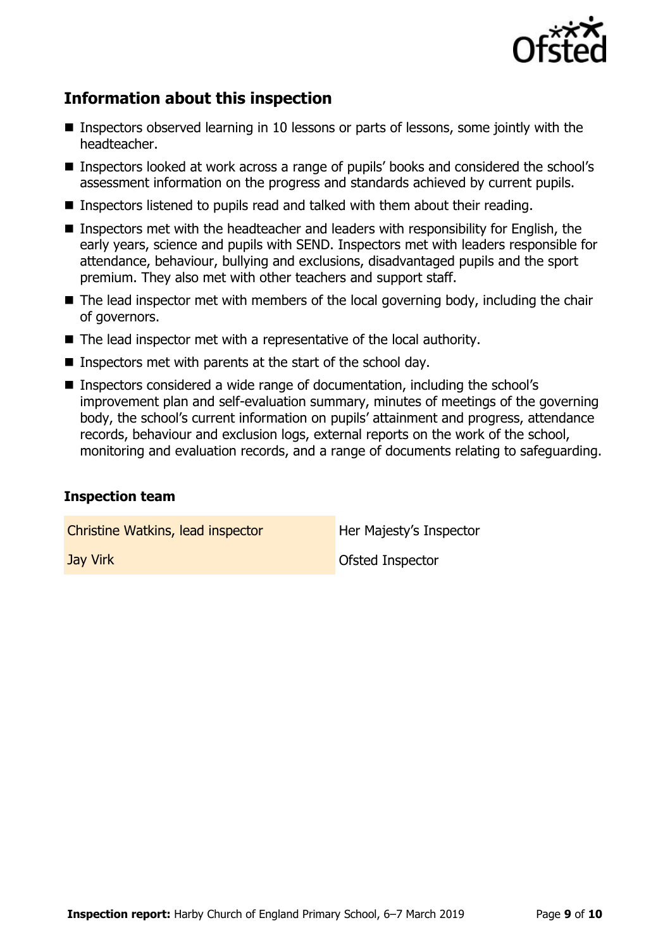

# **Information about this inspection**

- Inspectors observed learning in 10 lessons or parts of lessons, some jointly with the headteacher.
- Inspectors looked at work across a range of pupils' books and considered the school's assessment information on the progress and standards achieved by current pupils.
- Inspectors listened to pupils read and talked with them about their reading.
- Inspectors met with the headteacher and leaders with responsibility for English, the early years, science and pupils with SEND. Inspectors met with leaders responsible for attendance, behaviour, bullying and exclusions, disadvantaged pupils and the sport premium. They also met with other teachers and support staff.
- The lead inspector met with members of the local governing body, including the chair of governors.
- The lead inspector met with a representative of the local authority.
- Inspectors met with parents at the start of the school day.
- Inspectors considered a wide range of documentation, including the school's improvement plan and self-evaluation summary, minutes of meetings of the governing body, the school's current information on pupils' attainment and progress, attendance records, behaviour and exclusion logs, external reports on the work of the school, monitoring and evaluation records, and a range of documents relating to safeguarding.

# **Inspection team**

Christine Watkins, lead inspector **Her Majesty's Inspector Jay Virk Construction Construction Construction Construction Construction Construction Construction Construction**